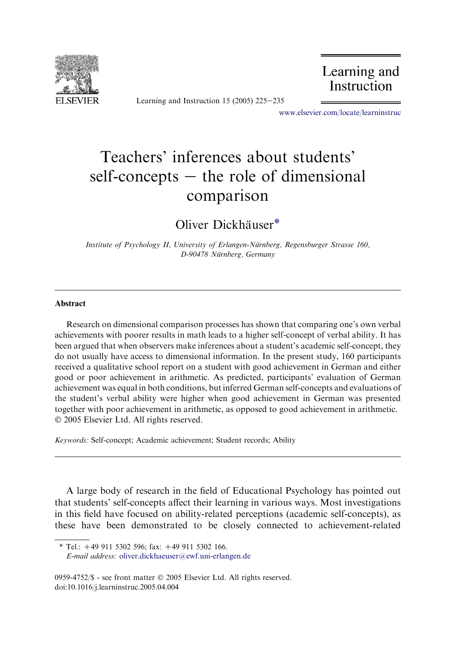

Learning and Instruction 15 (2005)  $225-235$ 

Learning and Instruction

[www.elsevier.com/locate/learninstruc](http://www.elsevier.com/locate/learninstruc)

## Teachers' inferences about students' self-concepts  $-$  the role of dimensional comparison

Oliver Dickhäuser<sup>\*</sup>

Institute of Psychology II, University of Erlangen-Nürnberg, Regensburger Strasse 160, D-90478 Nürnberg, Germany

## Abstract

Research on dimensional comparison processes has shown that comparing one's own verbal achievements with poorer results in math leads to a higher self-concept of verbal ability. It has been argued that when observers make inferences about a student's academic self-concept, they do not usually have access to dimensional information. In the present study, 160 participants received a qualitative school report on a student with good achievement in German and either good or poor achievement in arithmetic. As predicted, participants' evaluation of German achievement was equal in both conditions, but inferred German self-concepts and evaluations of the student's verbal ability were higher when good achievement in German was presented together with poor achievement in arithmetic, as opposed to good achievement in arithmetic. 2005 Elsevier Ltd. All rights reserved.

Keywords: Self-concept; Academic achievement; Student records; Ability

A large body of research in the field of Educational Psychology has pointed out that students' self-concepts affect their learning in various ways. Most investigations in this field have focused on ability-related perceptions (academic self-concepts), as these have been demonstrated to be closely connected to achievement-related

 $*$  Tel.: +49 911 5302 596; fax: +49 911 5302 166. E-mail address: [oliver.dickhaeuser@ewf.uni-erlangen.de](mailto:oliver.dickhaeuser@ewf.uni-erlangen.de)

<sup>0959-4752/\$ -</sup> see front matter © 2005 Elsevier Ltd. All rights reserved. doi:10.1016/j.learninstruc.2005.04.004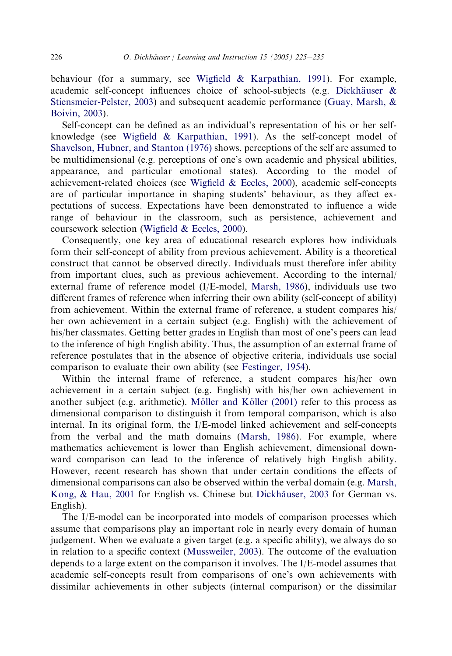behaviour (for a summary, see [Wigfield & Karpathian, 1991](#page--1-0)). For example, academic self-concept influences choice of school-subjects (e.g. Dickhäuser  $\&$ [Stiensmeier-Pelster, 2003](#page--1-0)) and subsequent academic performance [\(Guay, Marsh, &](#page--1-0) [Boivin, 2003](#page--1-0)).

Self-concept can be defined as an individual's representation of his or her selfknowledge (see [Wigfield & Karpathian, 1991](#page--1-0)). As the self-concept model of [Shavelson, Hubner, and Stanton \(1976\)](#page--1-0) shows, perceptions of the self are assumed to be multidimensional (e.g. perceptions of one's own academic and physical abilities, appearance, and particular emotional states). According to the model of achievement-related choices (see [Wigfield & Eccles, 2000](#page--1-0)), academic self-concepts are of particular importance in shaping students' behaviour, as they affect expectations of success. Expectations have been demonstrated to influence a wide range of behaviour in the classroom, such as persistence, achievement and coursework selection ([Wigfield & Eccles, 2000\)](#page--1-0).

Consequently, one key area of educational research explores how individuals form their self-concept of ability from previous achievement. Ability is a theoretical construct that cannot be observed directly. Individuals must therefore infer ability from important clues, such as previous achievement. According to the internal/ external frame of reference model (I/E-model, [Marsh, 1986](#page--1-0)), individuals use two different frames of reference when inferring their own ability (self-concept of ability) from achievement. Within the external frame of reference, a student compares his/ her own achievement in a certain subject (e.g. English) with the achievement of his/her classmates. Getting better grades in English than most of one's peers can lead to the inference of high English ability. Thus, the assumption of an external frame of reference postulates that in the absence of objective criteria, individuals use social comparison to evaluate their own ability (see [Festinger, 1954](#page--1-0)).

Within the internal frame of reference, a student compares his/her own achievement in a certain subject (e.g. English) with his/her own achievement in another subject (e.g. arithmetic). Möller and Köller  $(2001)$  refer to this process as dimensional comparison to distinguish it from temporal comparison, which is also internal. In its original form, the I/E-model linked achievement and self-concepts from the verbal and the math domains [\(Marsh, 1986](#page--1-0)). For example, where mathematics achievement is lower than English achievement, dimensional downward comparison can lead to the inference of relatively high English ability. However, recent research has shown that under certain conditions the effects of dimensional comparisons can also be observed within the verbal domain (e.g. [Marsh,](#page--1-0) [Kong, & Hau, 2001](#page--1-0) for English vs. Chinese but Dickhäuser, 2003 for German vs. English).

The I/E-model can be incorporated into models of comparison processes which assume that comparisons play an important role in nearly every domain of human judgement. When we evaluate a given target (e.g. a specific ability), we always do so in relation to a specific context [\(Mussweiler, 2003\)](#page--1-0). The outcome of the evaluation depends to a large extent on the comparison it involves. The I/E-model assumes that academic self-concepts result from comparisons of one's own achievements with dissimilar achievements in other subjects (internal comparison) or the dissimilar